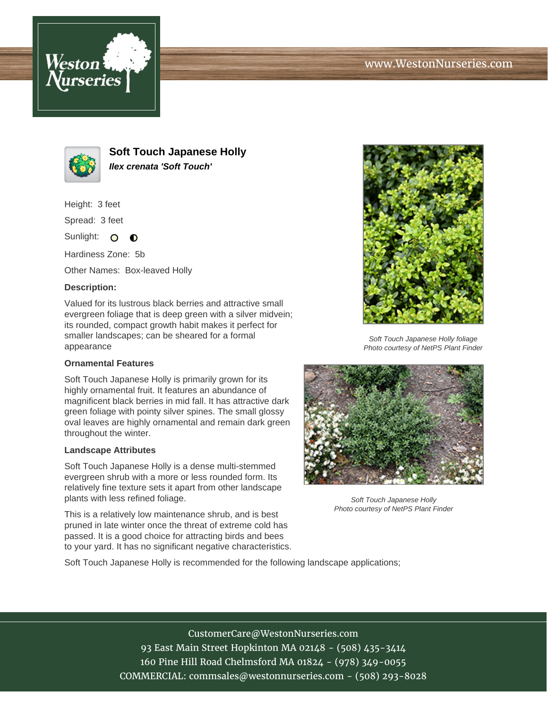



**Soft Touch Japanese Holly Ilex crenata 'Soft Touch'**

Height: 3 feet

Spread: 3 feet

Sunlight: O  $\bullet$ 

Hardiness Zone: 5b

Other Names: Box-leaved Holly

## **Description:**

Valued for its lustrous black berries and attractive small evergreen foliage that is deep green with a silver midvein; its rounded, compact growth habit makes it perfect for smaller landscapes; can be sheared for a formal appearance

## **Ornamental Features**

Soft Touch Japanese Holly is primarily grown for its highly ornamental fruit. It features an abundance of magnificent black berries in mid fall. It has attractive dark green foliage with pointy silver spines. The small glossy oval leaves are highly ornamental and remain dark green throughout the winter.

## **Landscape Attributes**

Soft Touch Japanese Holly is a dense multi-stemmed evergreen shrub with a more or less rounded form. Its relatively fine texture sets it apart from other landscape plants with less refined foliage.

This is a relatively low maintenance shrub, and is best pruned in late winter once the threat of extreme cold has passed. It is a good choice for attracting birds and bees to your yard. It has no significant negative characteristics.



Soft Touch Japanese Holly foliage Photo courtesy of NetPS Plant Finder



Soft Touch Japanese Holly Photo courtesy of NetPS Plant Finder

Soft Touch Japanese Holly is recommended for the following landscape applications;

CustomerCare@WestonNurseries.com 93 East Main Street Hopkinton MA 02148 - (508) 435-3414 160 Pine Hill Road Chelmsford MA 01824 - (978) 349-0055 COMMERCIAL: commsales@westonnurseries.com - (508) 293-8028